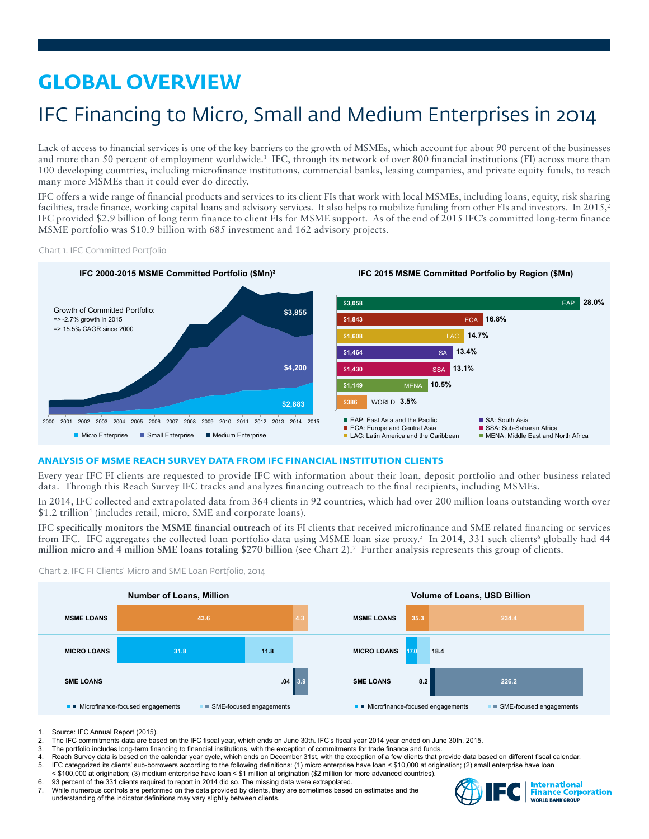# **GLOBAL OVERVIEW**

# IFC Financing to Micro, Small and Medium Enterprises in 2014

Lack of access to financial services is one of the key barriers to the growth of MSMEs, which account for about 90 percent of the businesses and more than 50 percent of employment worldwide.<sup>1</sup> IFC, through its network of over 800 financial institutions (FI) across more than 100 developing countries, including microfinance institutions, commercial banks, leasing companies, and private equity funds, to reach many more MSMEs than it could ever do directly.

IFC offers a wide range of financial products and services to its client FIs that work with local MSMEs, including loans, equity, risk sharing facilities, trade finance, working capital loans and advisory services. It also helps to mobilize funding from other FIs and investors. In 2015,<sup>2</sup> IFC provided \$2.9 billion of long term finance to client FIs for MSME support. As of the end of 2015 IFC's committed long-term finance MSME portfolio was \$10.9 billion with 685 investment and 162 advisory projects.

Chart 1. IFC Committed Portfolio



# **ANALYSIS OF MSME REACH SURVEY DATA FROM IFC FINANCIAL INSTITUTION CLIENTS**

Every year IFC FI clients are requested to provide IFC with information about their loan, deposit portfolio and other business related data. Through this Reach Survey IFC tracks and analyzes financing outreach to the final recipients, including MSMEs.

In 2014, IFC collected and extrapolated data from 364 clients in 92 countries, which had over 200 million loans outstanding worth over \$1.2 trillion<sup>4</sup> (includes retail, micro, SME and corporate loans).

IFC **specifically monitors the MSME financial outreach** of its FI clients that received microfinance and SME related financing or services from IFC. IFC aggregates the collected loan portfolio data using MSME loan size proxy.<sup>5</sup> In 2014, 331 such clients<sup>6</sup> globally had 44 **million micro and 4 million SME loans totaling \$270 billion** (see Chart 2).7 Further analysis represents this group of clients.





Source: IFC Annual Report (2015).

<sup>7.</sup> While numerous controls are performed on the data provided by clients, they are sometimes based on estimates and the understanding of the indicator definitions may vary slightly between clients.



<sup>2.</sup> The IFC commitments data are based on the IFC fiscal year, which ends on June 30th. IFC's fiscal year 2014 year ended on June 30th, 2015.<br>3. The portfolio includes long-term financing to financial institutions, with the

The portfolio includes long-term financing to financial institutions, with the exception of commitments for trade finance and funds.

<sup>4.</sup> Reach Survey data is based on the calendar year cycle, which ends on December 31st, with the exception of a few clients that provide data based on different fiscal calendar.<br>5. IEC categorized its clients' sub-borrowers

IFC categorized its clients' sub-borrowers according to the following definitions: (1) micro enterprise have loan < \$10,000 at origination; (2) small enterprise have loan < \$100,000 at origination; (3) medium enterprise have loan < \$1 million at origination (\$2 million for more advanced countries).

<sup>6. 93</sup> percent of the 331 clients required to report in 2014 did so. The missing data were extrapolated.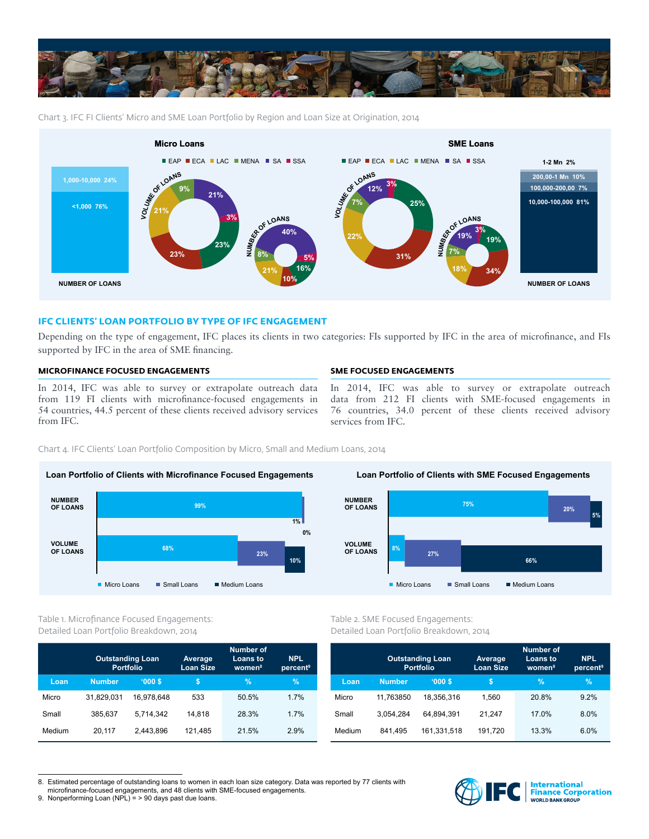

Chart 3. IFC FI Clients' Micro and SME Loan Portfolio by Region and Loan Size at Origination, 2014



# **IFC CLIENTS' LOAN PORTFOLIO BY TYPE OF IFC ENGAGEMENT**

Depending on the type of engagement, IFC places its clients in two categories: FIs supported by IFC in the area of microfinance, and FIs supported by IFC in the area of SME financing.

# **MICROFINANCE FOCUSED ENGAGEMENTS**

In 2014, IFC was able to survey or extrapolate outreach data from 119 FI clients with microfinance-focused engagements in 54 countries, 44.5 percent of these clients received advisory services from IFC.

### **SME FOCUSED ENGAGEMENTS**

In 2014, IFC was able to survey or extrapolate outreach data from 212 FI clients with SME-focused engagements in 76 countries, 34.0 percent of these clients received advisory services from IFC.

Chart 4. IFC Clients' Loan Portfolio Composition by Micro, Small and Medium Loans, 2014





Table 1. Microfinance Focused Engagements: Detailed Loan Portfolio Breakdown, 2014

|        | <b>Outstanding Loan</b><br><b>Portfolio</b> |            | Average<br><b>Loan Size</b> | <b>Number of</b><br>Loans to<br>women <sup>8</sup> | <b>NPL</b><br>percent <sup>9</sup> |  |
|--------|---------------------------------------------|------------|-----------------------------|----------------------------------------------------|------------------------------------|--|
| Loan   | <b>Number</b>                               | '000S      | \$                          | $\%$                                               | $\%$                               |  |
| Micro  | 31.829.031                                  | 16.978.648 | 533                         | 50.5%                                              | 1.7%                               |  |
| Small  | 385,637                                     | 5.714.342  | 14.818                      | 28.3%                                              | 1.7%                               |  |
| Medium | 20.117                                      | 2.443.896  | 121.485                     | 21.5%                                              | 2.9%                               |  |

Table 2. SME Focused Engagements: Detailed Loan Portfolio Breakdown, 2014

|        |               | <b>Outstanding Loan</b><br><b>Portfolio</b> | Average<br><b>Loan Size</b> | <b>Number of</b><br><b>Loans to</b><br>women <sup>8</sup> | <b>NPL</b><br>percent <sup>9</sup> |  |
|--------|---------------|---------------------------------------------|-----------------------------|-----------------------------------------------------------|------------------------------------|--|
| Loan   | <b>Number</b> | '000S                                       | 'S                          | $\frac{9}{6}$                                             | $\%$                               |  |
| Micro  | 11.763850     | 18.356.316                                  | 1.560                       | 20.8%                                                     | 9.2%                               |  |
| Small  | 3,054,284     | 64.894.391                                  | 21.247                      | 17.0%                                                     | 8.0%                               |  |
| Medium | 841.495       | 161.331.518                                 | 191,720                     | 13.3%                                                     | 6.0%                               |  |

<sup>8.</sup> Estimated percentage of outstanding loans to women in each loan size category. Data was reported by 77 clients with



**International<br>Finance Corporation**<br>WORLD BANKGROUP

microfinance-focused engagements, and 48 clients with SME-focused engagements. 9. Nonperforming Loan (NPL) = > 90 days past due loans.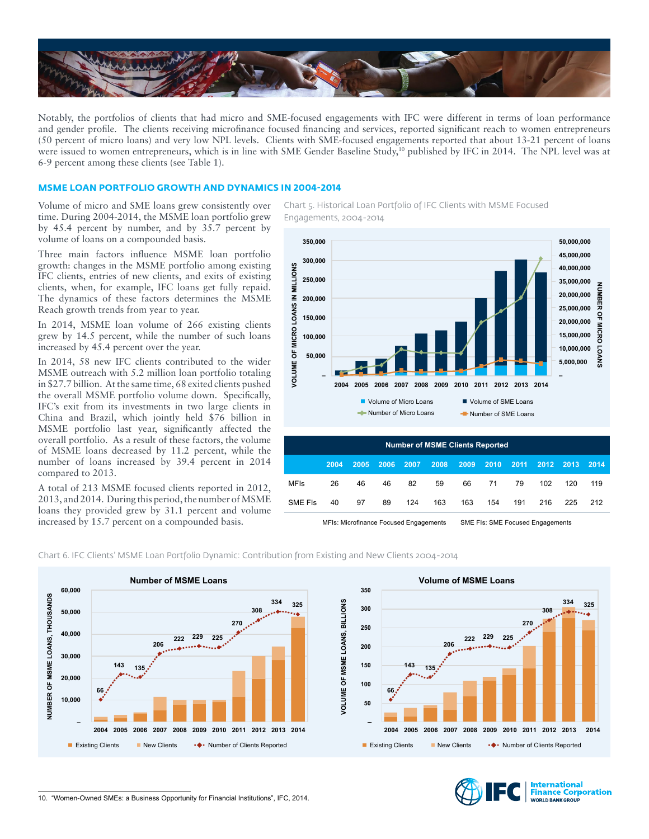

Notably, the portfolios of clients that had micro and SME-focused engagements with IFC were different in terms of loan performance and gender profile. The clients receiving microfinance focused financing and services, reported significant reach to women entrepreneurs (50 percent of micro loans) and very low NPL levels. Clients with SME-focused engagements reported that about 13-21 percent of loans were issued to women entrepreneurs, which is in line with SME Gender Baseline Study,<sup>10</sup> published by IFC in 2014. The NPL level was at 6-9 percent among these clients (see Table 1).

## **MSME LOAN PORTFOLIO GROWTH AND DYNAMICS IN 2004-2014**

Volume of micro and SME loans grew consistently over time. During 2004-2014, the MSME loan portfolio grew by 45.4 percent by number, and by 35.7 percent by volume of loans on a compounded basis.

Three main factors influence MSME loan portfolio growth: changes in the MSME portfolio among existing IFC clients, entries of new clients, and exits of existing clients, when, for example, IFC loans get fully repaid. The dynamics of these factors determines the MSME Reach growth trends from year to year.

In 2014, MSME loan volume of 266 existing clients grew by 14.5 percent, while the number of such loans increased by 45.4 percent over the year.

In 2014, 58 new IFC clients contributed to the wider MSME outreach with 5.2 million loan portfolio totaling in \$27.7 billion. At the same time, 68 exited clients pushed the overall MSME portfolio volume down. Specifically, IFC's exit from its investments in two large clients in China and Brazil, which jointly held \$76 billion in MSME portfolio last year, significantly affected the overall portfolio. As a result of these factors, the volume of MSME loans decreased by 11.2 percent, while the number of loans increased by 39.4 percent in 2014 compared to 2013.

A total of 213 MSME focused clients reported in 2012, 2013, and 2014. During this period, the number of MSME loans they provided grew by 31.1 percent and volume increased by 15.7 percent on a compounded basis.

Chart 5. Historical Loan Portfolio of IFC Clients with MSME Focused Engagements, 2004-2014



| <b>Number of MSME Clients Reported</b> |      |      |      |      |      |      |      |      |      |      |      |
|----------------------------------------|------|------|------|------|------|------|------|------|------|------|------|
|                                        | 2004 | 2005 | 2006 | 2007 | 2008 | 2009 | 2010 | 2011 | 2012 | 2013 | 2014 |
| <b>MFIs</b>                            | 26   | 46   | 46   | 82   | 59   | 66   | 71   | 79   | 102  | 120  | 119  |
| SME FIS                                | 40   | 97   | 89   | 124  | 163  | 163  | 154  | 191  | 216  | 225  | 212  |
|                                        |      |      |      |      |      |      |      |      |      |      |      |

MFIs: Microfinance Focused Engagements SME FIs: SME Focused Engagements

Chart 6. IFC Clients' MSME Loan Portfolio Dynamic: Contribution from Existing and New Clients 2004-2014